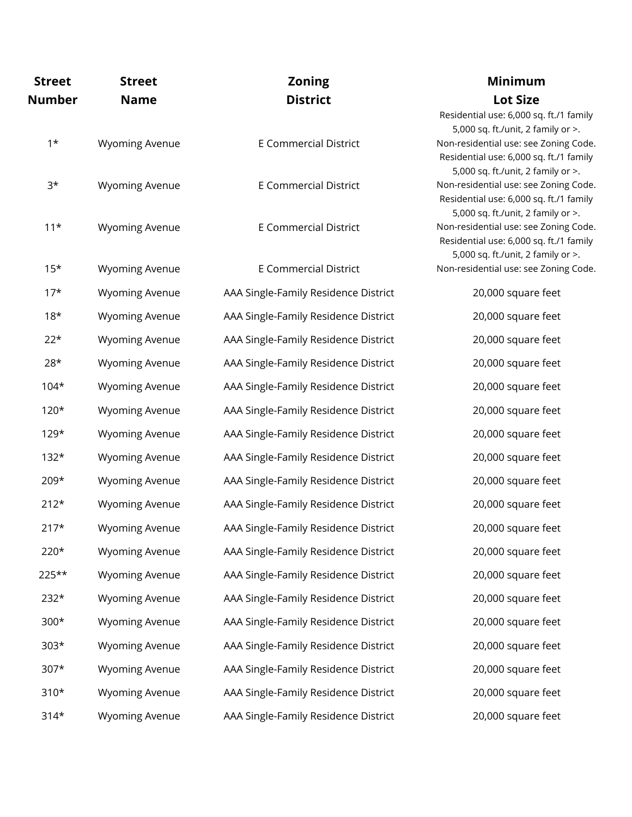| <b>Street</b> | <b>Street</b>         | <b>Zoning</b>                        | <b>Minimum</b>                                                                                                         |
|---------------|-----------------------|--------------------------------------|------------------------------------------------------------------------------------------------------------------------|
| <b>Number</b> | <b>Name</b>           | <b>District</b>                      | <b>Lot Size</b>                                                                                                        |
|               |                       |                                      | Residential use: 6,000 sq. ft./1 family<br>5,000 sq. ft./unit, 2 family or >.                                          |
| $1*$          | <b>Wyoming Avenue</b> | <b>E Commercial District</b>         | Non-residential use: see Zoning Code.<br>Residential use: 6,000 sq. ft./1 family<br>5,000 sq. ft./unit, 2 family or >. |
| $3*$          | <b>Wyoming Avenue</b> | <b>E Commercial District</b>         | Non-residential use: see Zoning Code.<br>Residential use: 6,000 sq. ft./1 family<br>5,000 sq. ft./unit, 2 family or >. |
| $11*$         | <b>Wyoming Avenue</b> | <b>E Commercial District</b>         | Non-residential use: see Zoning Code.<br>Residential use: 6,000 sq. ft./1 family<br>5,000 sq. ft./unit, 2 family or >. |
| $15*$         | <b>Wyoming Avenue</b> | <b>E Commercial District</b>         | Non-residential use: see Zoning Code.                                                                                  |
| $17*$         | <b>Wyoming Avenue</b> | AAA Single-Family Residence District | 20,000 square feet                                                                                                     |
| $18*$         | <b>Wyoming Avenue</b> | AAA Single-Family Residence District | 20,000 square feet                                                                                                     |
| $22*$         | <b>Wyoming Avenue</b> | AAA Single-Family Residence District | 20,000 square feet                                                                                                     |
| $28*$         | <b>Wyoming Avenue</b> | AAA Single-Family Residence District | 20,000 square feet                                                                                                     |
| $104*$        | <b>Wyoming Avenue</b> | AAA Single-Family Residence District | 20,000 square feet                                                                                                     |
| $120*$        | <b>Wyoming Avenue</b> | AAA Single-Family Residence District | 20,000 square feet                                                                                                     |
| $129*$        | <b>Wyoming Avenue</b> | AAA Single-Family Residence District | 20,000 square feet                                                                                                     |
| $132*$        | <b>Wyoming Avenue</b> | AAA Single-Family Residence District | 20,000 square feet                                                                                                     |
| 209*          | <b>Wyoming Avenue</b> | AAA Single-Family Residence District | 20,000 square feet                                                                                                     |
| $212*$        | <b>Wyoming Avenue</b> | AAA Single-Family Residence District | 20,000 square feet                                                                                                     |
| $217*$        | <b>Wyoming Avenue</b> | AAA Single-Family Residence District | 20,000 square feet                                                                                                     |
| $220*$        | <b>Wyoming Avenue</b> | AAA Single-Family Residence District | 20,000 square feet                                                                                                     |
| 225**         | <b>Wyoming Avenue</b> | AAA Single-Family Residence District | 20,000 square feet                                                                                                     |
| $232*$        | <b>Wyoming Avenue</b> | AAA Single-Family Residence District | 20,000 square feet                                                                                                     |
| $300*$        | <b>Wyoming Avenue</b> | AAA Single-Family Residence District | 20,000 square feet                                                                                                     |
| $303*$        | <b>Wyoming Avenue</b> | AAA Single-Family Residence District | 20,000 square feet                                                                                                     |
| $307*$        | <b>Wyoming Avenue</b> | AAA Single-Family Residence District | 20,000 square feet                                                                                                     |
| $310*$        | <b>Wyoming Avenue</b> | AAA Single-Family Residence District | 20,000 square feet                                                                                                     |
| $314*$        | <b>Wyoming Avenue</b> | AAA Single-Family Residence District | 20,000 square feet                                                                                                     |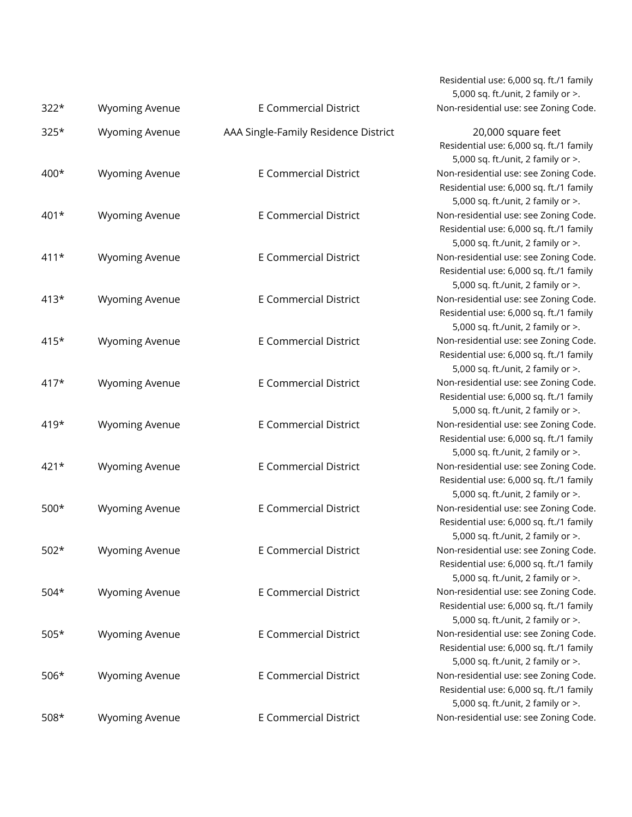| $322*$ | <b>Wyoming Avenue</b> | <b>E Commercial District</b>         |
|--------|-----------------------|--------------------------------------|
| 325*   | <b>Wyoming Avenue</b> | AAA Single-Family Residence District |
| 400*   | <b>Wyoming Avenue</b> | <b>E Commercial District</b>         |
| 401*   | <b>Wyoming Avenue</b> | <b>E Commercial District</b>         |
| $411*$ | <b>Wyoming Avenue</b> | <b>E Commercial District</b>         |
| $413*$ | <b>Wyoming Avenue</b> | <b>E Commercial District</b>         |
| 415*   | <b>Wyoming Avenue</b> | <b>E Commercial District</b>         |
| $417*$ | <b>Wyoming Avenue</b> | <b>E Commercial District</b>         |
| 419*   | <b>Wyoming Avenue</b> | <b>E Commercial District</b>         |
| $421*$ | <b>Wyoming Avenue</b> | <b>E Commercial District</b>         |
| $500*$ | <b>Wyoming Avenue</b> | <b>E Commercial District</b>         |
| $502*$ | <b>Wyoming Avenue</b> | <b>E Commercial District</b>         |
| $504*$ | <b>Wyoming Avenue</b> | <b>E Commercial District</b>         |
| $505*$ | <b>Wyoming Avenue</b> | <b>E Commercial District</b>         |
| $506*$ | <b>Wyoming Avenue</b> | <b>E Commercial District</b>         |
| 508*   | <b>Wyoming Avenue</b> | <b>E Commercial District</b>         |

Residential use: 6,000 sq. ft./1 family 5,000 sq. ft./unit, 2 family or >. Non-residential use: see Zoning Code.

20,000 square feet Residential use: 6,000 sq. ft./1 family 5,000 sq. ft./unit, 2 family or >. Non-residential use: see Zoning Code. Residential use: 6,000 sq. ft./1 family 5,000 sq. ft./unit, 2 family or >. Non-residential use: see Zoning Code. Residential use: 6,000 sq. ft./1 family 5,000 sq. ft./unit, 2 family or >. Non-residential use: see Zoning Code. Residential use: 6,000 sq. ft./1 family 5,000 sq. ft./unit, 2 family or >. Non-residential use: see Zoning Code. Residential use: 6,000 sq. ft./1 family 5,000 sq. ft./unit, 2 family or >. Non-residential use: see Zoning Code. Residential use: 6,000 sq. ft./1 family 5,000 sq. ft./unit, 2 family or >. Non-residential use: see Zoning Code. Residential use: 6,000 sq. ft./1 family 5,000 sq. ft./unit, 2 family or >. Non-residential use: see Zoning Code. Residential use: 6,000 sq. ft./1 family 5,000 sq. ft./unit, 2 family or >. Non-residential use: see Zoning Code. Residential use: 6,000 sq. ft./1 family 5,000 sq. ft./unit, 2 family or >. Non-residential use: see Zoning Code. Residential use: 6,000 sq. ft./1 family 5,000 sq. ft./unit, 2 family or >. Non-residential use: see Zoning Code. Residential use: 6,000 sq. ft./1 family 5,000 sq. ft./unit, 2 family or >. Non-residential use: see Zoning Code. Residential use: 6,000 sq. ft./1 family 5,000 sq. ft./unit, 2 family or >. Non-residential use: see Zoning Code. Residential use: 6,000 sq. ft./1 family 5,000 sq. ft./unit, 2 family or >. Non-residential use: see Zoning Code. Residential use: 6,000 sq. ft./1 family 5,000 sq. ft./unit, 2 family or >. Non-residential use: see Zoning Code.